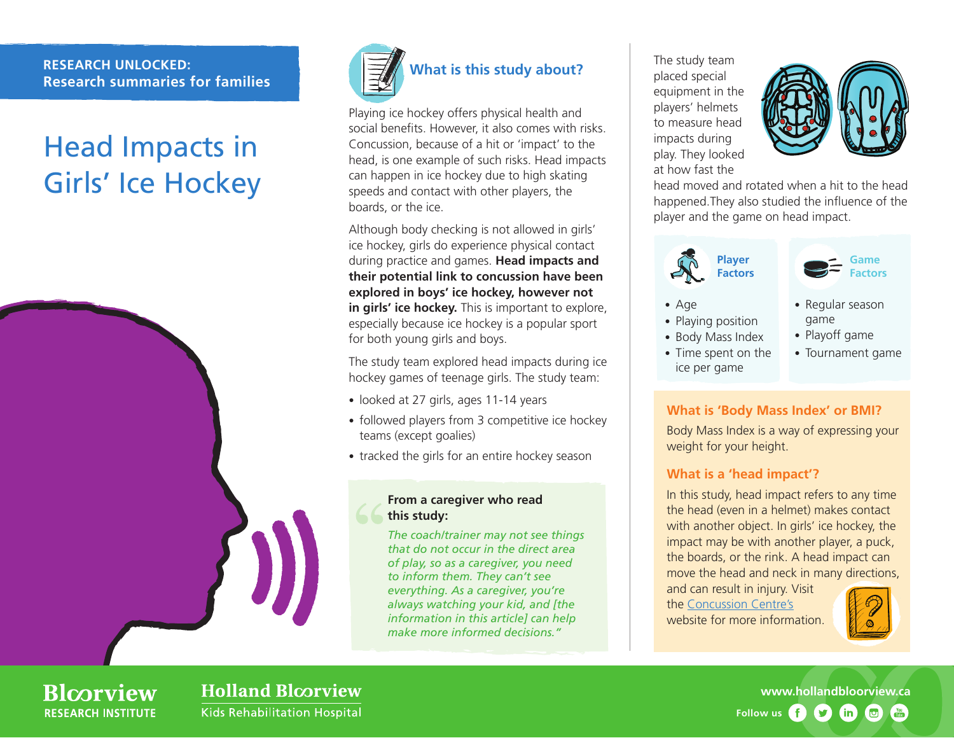#### **RESEARCH UNLOCKED: Research summaries for families**

# Head Impacts in Girls' Ice Hockey





Playing ice hockey offers physical health and social benefits. However, it also comes with risks. Concussion, because of a hit or 'impact' to the head, is one example of such risks. Head impacts can happen in ice hockey due to high skating speeds and contact with other players, the boards, or the ice.

Although body checking is not allowed in girls' ice hockey, girls do experience physical contact during practice and games. **Head impacts and their potential link to concussion have been explored in boys' ice hockey, however not in girls' ice hockey.** This is important to explore, especially because ice hockey is a popular sport for both young girls and boys.

The study team explored head impacts during ice hockey games of teenage girls. The study team:

- looked at 27 girls, ages 11-14 years
- followed players from 3 competitive ice hockey teams (except goalies)
- tracked the girls for an entire hockey season

#### **From a caregiver who read this study:**

*The coach/trainer may not see things that do not occur in the direct area of play, so as a caregiver, you need to inform them. They can't see everything. As a caregiver, you're always watching your kid, and [the information in this article] can help make more informed decisions."*

The study team placed special equipment in the players' helmets to measure head impacts during play. They looked at how fast the



head moved and rotated when a hit to the head happened.They also studied the influence of the player and the game on head impact.



• Playing position • Body Mass Index

ice per game

• Age



- Regular season game
- Playoff game
- Tournament game • Time spent on the

## **What is 'Body Mass Index' or BMI?**

Body Mass Index is a way of expressing your weight for your height.

## **What is a 'head impact'?**

In this study, head impact refers to any time the head (even in a helmet) makes contact with another object. In girls' ice hockey, the impact may be with another player, a puck, the boards, or the rink. A head impact can move the head and neck in many directions,

and can result in injury. Visit the [Concussion Centre's](https://hollandbloorview.ca/research-education/bloorview-research-institute/research-centres-labs/concussion-research-lab) website for more information.



## **Blcorview RESEARCH INSTITUTE**

## **Holland Bloorview Kids Rehabilitation Hospital**

**[www.hollandbloorview.ca](http://www.hollandbloorview.ca) Follow us** $\mathbf{y}$  $(in)$  $\bullet$  $\frac{V}{I}$